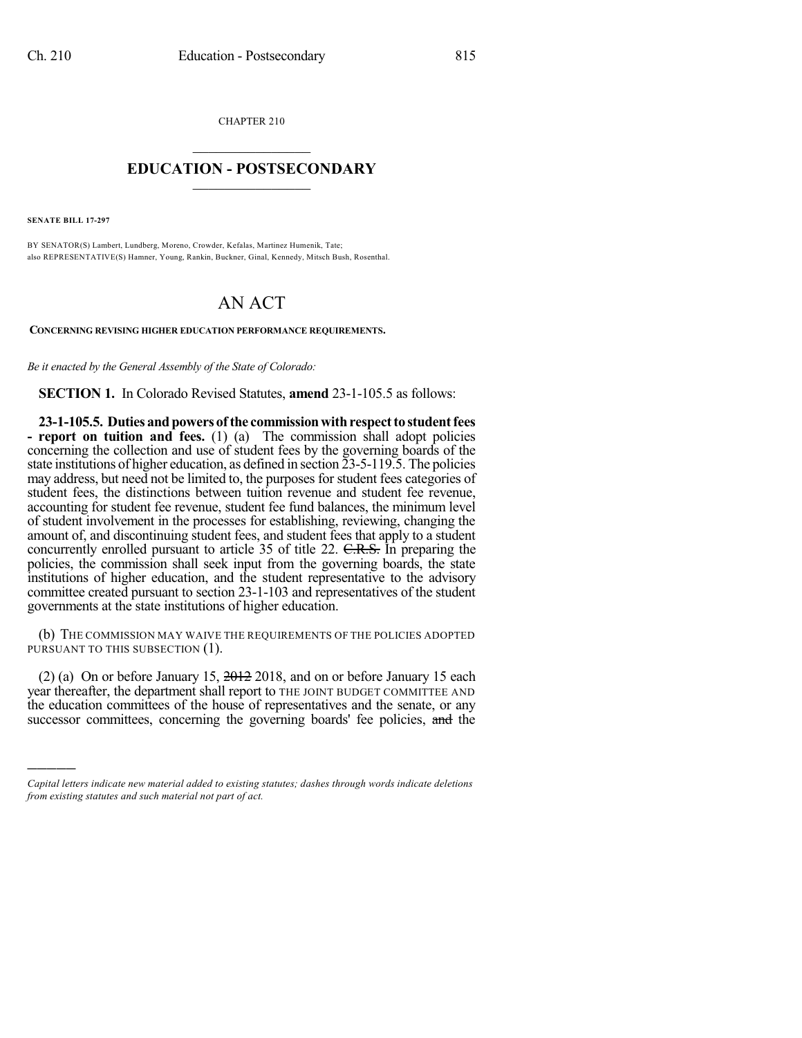CHAPTER 210  $\overline{\phantom{a}}$  . The set of the set of the set of the set of the set of the set of the set of the set of the set of the set of the set of the set of the set of the set of the set of the set of the set of the set of the set o

## **EDUCATION - POSTSECONDARY**  $\_$   $\_$   $\_$   $\_$   $\_$   $\_$   $\_$   $\_$   $\_$

**SENATE BILL 17-297**

)))))

BY SENATOR(S) Lambert, Lundberg, Moreno, Crowder, Kefalas, Martinez Humenik, Tate; also REPRESENTATIVE(S) Hamner, Young, Rankin, Buckner, Ginal, Kennedy, Mitsch Bush, Rosenthal.

## AN ACT

**CONCERNING REVISING HIGHER EDUCATION PERFORMANCE REQUIREMENTS.**

*Be it enacted by the General Assembly of the State of Colorado:*

**SECTION 1.** In Colorado Revised Statutes, **amend** 23-1-105.5 as follows:

**23-1-105.5. Duties andpowers ofthe commissionwithrespectto studentfees - report on tuition and fees.** (1) (a) The commission shall adopt policies concerning the collection and use of student fees by the governing boards of the state institutions of higher education, as defined in section 23-5-119.5. The policies may address, but need not be limited to, the purposes for student fees categories of student fees, the distinctions between tuition revenue and student fee revenue, accounting for student fee revenue, student fee fund balances, the minimum level of student involvement in the processes for establishing, reviewing, changing the amount of, and discontinuing student fees, and student fees that apply to a student concurrently enrolled pursuant to article 35 of title 22. C.R.S. In preparing the policies, the commission shall seek input from the governing boards, the state institutions of higher education, and the student representative to the advisory committee created pursuant to section 23-1-103 and representatives of the student governments at the state institutions of higher education.

(b) THE COMMISSION MAY WAIVE THE REQUIREMENTS OF THE POLICIES ADOPTED PURSUANT TO THIS SUBSECTION (1).

(2) (a) On or before January 15, 2012 2018, and on or before January 15 each year thereafter, the department shall report to THE JOINT BUDGET COMMITTEE AND the education committees of the house of representatives and the senate, or any successor committees, concerning the governing boards' fee policies, and the

*Capital letters indicate new material added to existing statutes; dashes through words indicate deletions from existing statutes and such material not part of act.*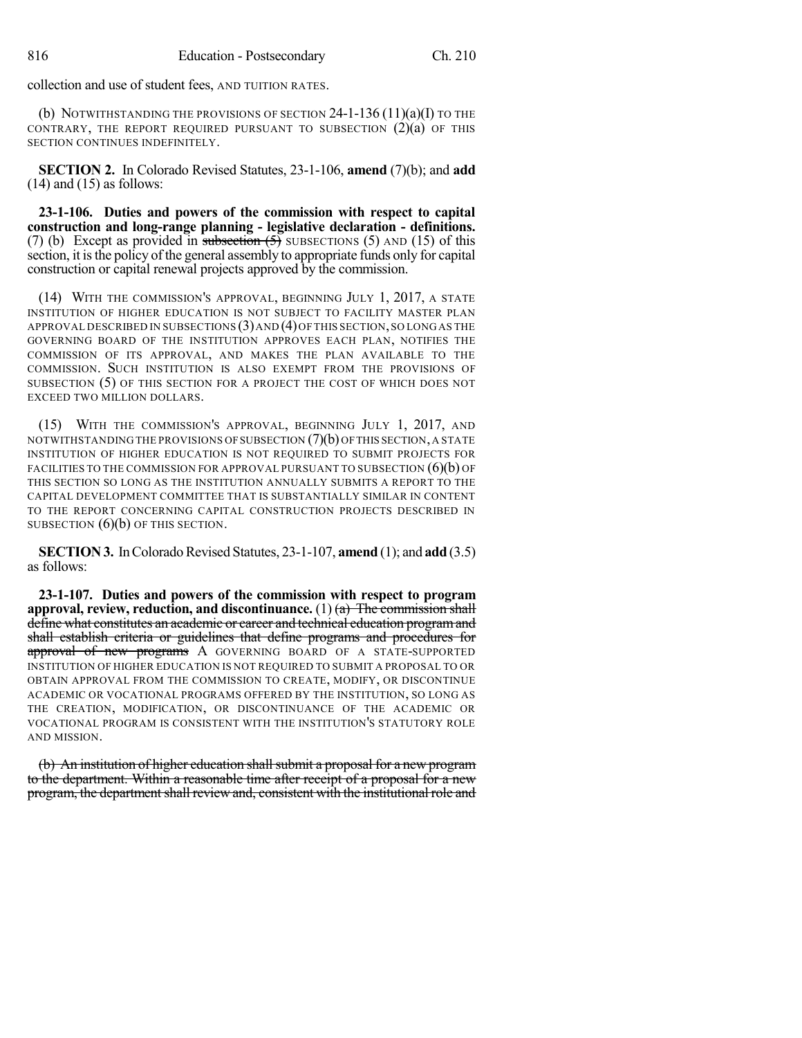collection and use of student fees, AND TUITION RATES.

(b) NOTWITHSTANDING THE PROVISIONS OF SECTION  $24$ -1-136 (11)(a)(I) TO THE CONTRARY, THE REPORT REQUIRED PURSUANT TO SUBSECTION (2)(a) OF THIS SECTION CONTINUES INDEFINITELY.

**SECTION 2.** In Colorado Revised Statutes, 23-1-106, **amend** (7)(b); and **add**  $(14)$  and  $(15)$  as follows:

**23-1-106. Duties and powers of the commission with respect to capital construction and long-range planning - legislative declaration - definitions.** (7) (b) Except as provided in subsection  $(5)$  SUBSECTIONS (5) AND (15) of this section, it isthe policy of the general assembly to appropriate funds only for capital construction or capital renewal projects approved by the commission.

(14) WITH THE COMMISSION'S APPROVAL, BEGINNING JULY 1, 2017, A STATE INSTITUTION OF HIGHER EDUCATION IS NOT SUBJECT TO FACILITY MASTER PLAN APPROVAL DESCRIBED IN SUBSECTIONS (3)AND (4)OF THIS SECTION,SO LONG AS THE GOVERNING BOARD OF THE INSTITUTION APPROVES EACH PLAN, NOTIFIES THE COMMISSION OF ITS APPROVAL, AND MAKES THE PLAN AVAILABLE TO THE COMMISSION. SUCH INSTITUTION IS ALSO EXEMPT FROM THE PROVISIONS OF SUBSECTION (5) OF THIS SECTION FOR A PROJECT THE COST OF WHICH DOES NOT EXCEED TWO MILLION DOLLARS.

(15) WITH THE COMMISSION'S APPROVAL, BEGINNING JULY 1, 2017, AND NOTWITHSTANDING THE PROVISIONS OFSUBSECTION (7)(b) OFTHIS SECTION,A STATE INSTITUTION OF HIGHER EDUCATION IS NOT REQUIRED TO SUBMIT PROJECTS FOR FACILITIES TO THE COMMISSION FOR APPROVAL PURSUANT TO SUBSECTION  $(6)(b)$  OF THIS SECTION SO LONG AS THE INSTITUTION ANNUALLY SUBMITS A REPORT TO THE CAPITAL DEVELOPMENT COMMITTEE THAT IS SUBSTANTIALLY SIMILAR IN CONTENT TO THE REPORT CONCERNING CAPITAL CONSTRUCTION PROJECTS DESCRIBED IN SUBSECTION  $(6)(b)$  OF THIS SECTION.

**SECTION 3.** In Colorado Revised Statutes, 23-1-107, **amend** (1); and **add** (3.5) as follows:

**23-1-107. Duties and powers of the commission with respect to program approval, review, reduction, and discontinuance.** (1) (a) The commission shall define what constitutes an academic or career and technical education program and shall establish criteria or guidelines that define programs and procedures for approval of new programs A GOVERNING BOARD OF A STATE-SUPPORTED INSTITUTION OF HIGHER EDUCATION IS NOT REQUIRED TO SUBMIT A PROPOSAL TO OR OBTAIN APPROVAL FROM THE COMMISSION TO CREATE, MODIFY, OR DISCONTINUE ACADEMIC OR VOCATIONAL PROGRAMS OFFERED BY THE INSTITUTION, SO LONG AS THE CREATION, MODIFICATION, OR DISCONTINUANCE OF THE ACADEMIC OR VOCATIONAL PROGRAM IS CONSISTENT WITH THE INSTITUTION'S STATUTORY ROLE AND MISSION.

(b) An institution of higher education shall submit a proposal for a new program to the department. Within a reasonable time after receipt of a proposal for a new program, the department shall review and, consistent with the institutional role and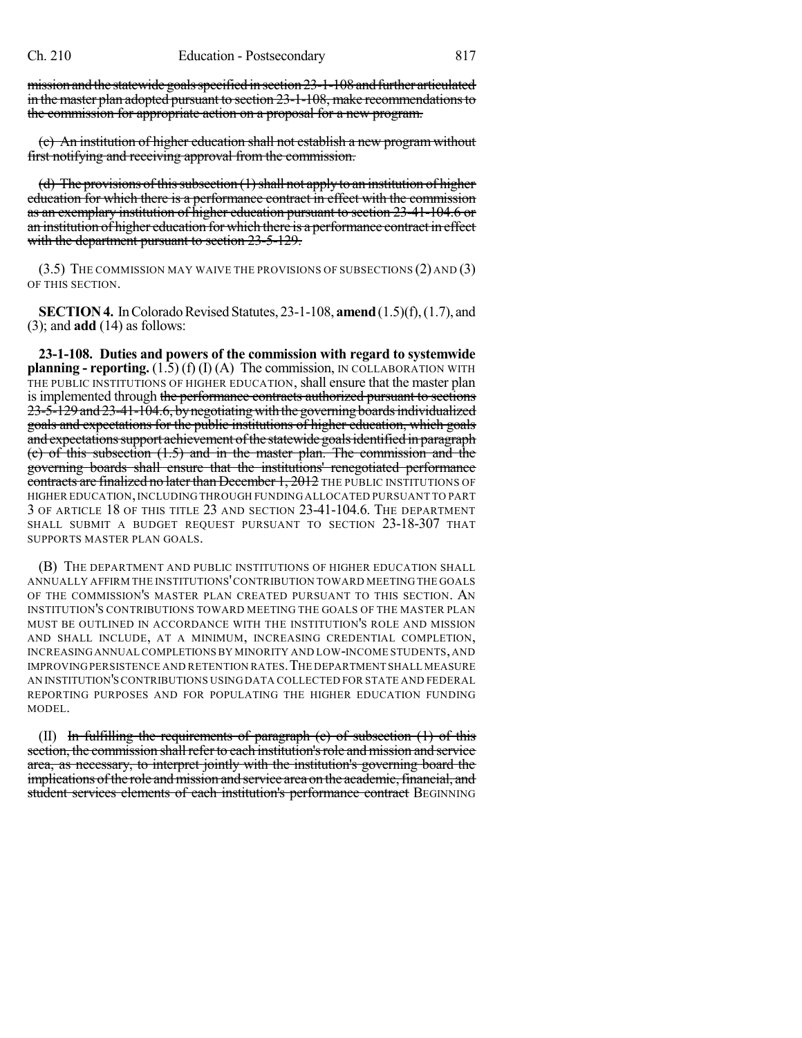mission and the statewide goals specified in section 23-1-108 and further articulated in the master plan adopted pursuant to section 23-1-108, make recommendationsto the commission for appropriate action on a proposal for a new program.

(c) An institution of higher education shall not establish a new program without first notifying and receiving approval from the commission.

(d) The provisions of this subsection  $(1)$  shall not apply to an institution of higher education for which there is a performance contract in effect with the commission as an exemplary institution of higher education pursuant to section 23-41-104.6 or an institution of higher education for which there is a performance contract in effect with the department pursuant to section 23-5-129.

(3.5) THE COMMISSION MAY WAIVE THE PROVISIONS OF SUBSECTIONS (2) AND (3) OF THIS SECTION.

**SECTION 4.** In Colorado Revised Statutes, 23-1-108, **amend** (1.5)(f), (1.7), and (3); and **add** (14) as follows:

**23-1-108. Duties and powers of the commission with regard to systemwide planning - reporting.** (1.5) (f) (I) (A) The commission, IN COLLABORATION WITH THE PUBLIC INSTITUTIONS OF HIGHER EDUCATION, shall ensure that the master plan is implemented through the performance contracts authorized pursuant to sections 23-5-129 and 23-41-104.6, by negotiating with the governing boards individualized goals and expectations for the public institutions of higher education, which goals and expectations support achievement of the statewide goals identified in paragraph (c) of this subsection (1.5) and in the master plan. The commission and the governing boards shall ensure that the institutions' renegotiated performance contracts are finalized no later than December 1, 2012 THE PUBLIC INSTITUTIONS OF HIGHER EDUCATION,INCLUDING THROUGH FUNDING ALLOCATED PURSUANT TO PART 3 OF ARTICLE 18 OF THIS TITLE 23 AND SECTION 23-41-104.6. THE DEPARTMENT SHALL SUBMIT A BUDGET REQUEST PURSUANT TO SECTION 23-18-307 THAT SUPPORTS MASTER PLAN GOALS.

(B) THE DEPARTMENT AND PUBLIC INSTITUTIONS OF HIGHER EDUCATION SHALL ANNUALLY AFFIRM THE INSTITUTIONS'CONTRIBUTION TOWARD MEETING THE GOALS OF THE COMMISSION'S MASTER PLAN CREATED PURSUANT TO THIS SECTION. AN INSTITUTION'S CONTRIBUTIONS TOWARD MEETING THE GOALS OF THE MASTER PLAN MUST BE OUTLINED IN ACCORDANCE WITH THE INSTITUTION'S ROLE AND MISSION AND SHALL INCLUDE, AT A MINIMUM, INCREASING CREDENTIAL COMPLETION, INCREASINGANNUAL COMPLETIONSBY MINORITY AND LOW-INCOME STUDENTS,AND IMPROVINGPERSISTENCE AND RETENTION RATES.THE DEPARTMENT SHALL MEASURE AN INSTITUTION'SCONTRIBUTIONS USINGDATA COLLECTED FOR STATE AND FEDERAL REPORTING PURPOSES AND FOR POPULATING THE HIGHER EDUCATION FUNDING MODEL.

(II) In fulfilling the requirements of paragraph  $(c)$  of subsection  $(1)$  of this section, the commission shall refer to each institution's role and mission and service area, as necessary, to interpret jointly with the institution's governing board the implications of the role and mission and service area on the academic, financial, and student services elements of each institution's performance contract BEGINNING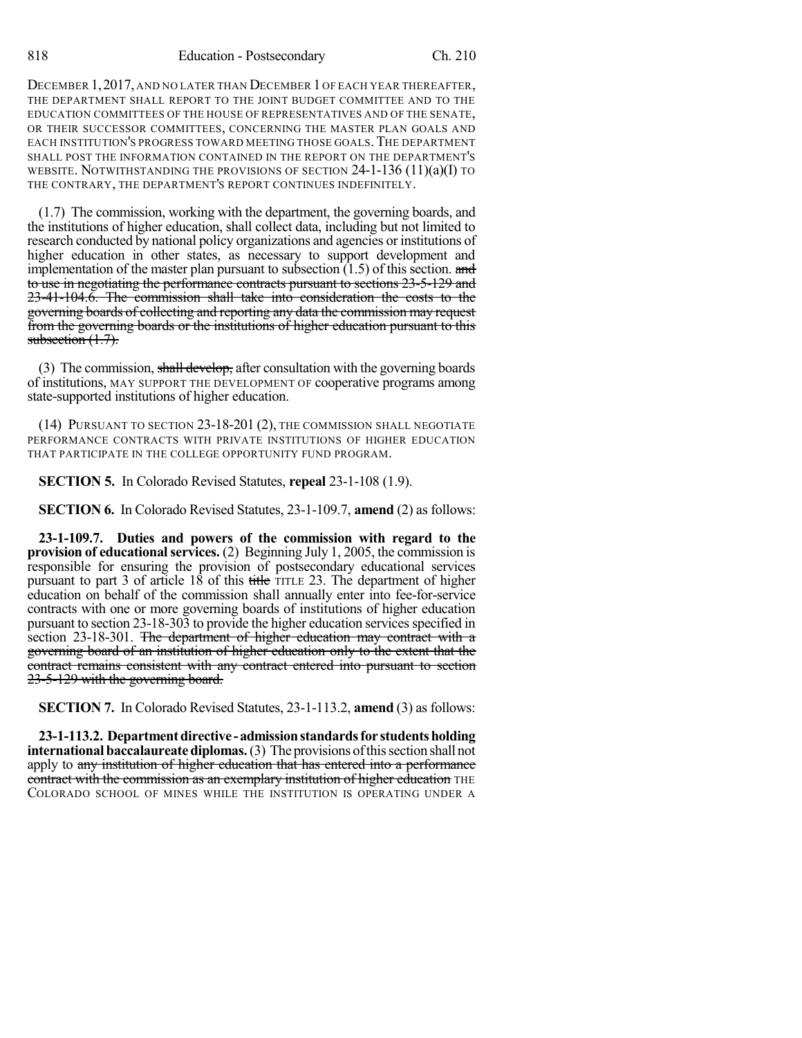DECEMBER 1,2017, AND NO LATER THAN DECEMBER 1 OF EACH YEAR THEREAFTER, THE DEPARTMENT SHALL REPORT TO THE JOINT BUDGET COMMITTEE AND TO THE EDUCATION COMMITTEES OF THE HOUSE OF REPRESENTATIVES AND OF THE SENATE, OR THEIR SUCCESSOR COMMITTEES, CONCERNING THE MASTER PLAN GOALS AND EACH INSTITUTION'S PROGRESS TOWARD MEETING THOSE GOALS.THE DEPARTMENT SHALL POST THE INFORMATION CONTAINED IN THE REPORT ON THE DEPARTMENT'S WEBSITE. NOTWITHSTANDING THE PROVISIONS OF SECTION 24-1-136 (11)(a)(I) TO THE CONTRARY, THE DEPARTMENT'S REPORT CONTINUES INDEFINITELY.

(1.7) The commission, working with the department, the governing boards, and the institutions of higher education, shall collect data, including but not limited to research conducted by national policy organizations and agencies or institutions of higher education in other states, as necessary to support development and implementation of the master plan pursuant to subsection  $(1.5)$  of this section. and to use in negotiating the performance contracts pursuant to sections 23-5-129 and 23-41-104.6. The commission shall take into consideration the costs to the governing boards of collecting and reporting any data the commission may request from the governing boards or the institutions of higher education pursuant to this subsection  $(1.7)$ .

(3) The commission, shall develop, after consultation with the governing boards of institutions, MAY SUPPORT THE DEVELOPMENT OF cooperative programs among state-supported institutions of higher education.

(14) PURSUANT TO SECTION 23-18-201 (2), THE COMMISSION SHALL NEGOTIATE PERFORMANCE CONTRACTS WITH PRIVATE INSTITUTIONS OF HIGHER EDUCATION THAT PARTICIPATE IN THE COLLEGE OPPORTUNITY FUND PROGRAM.

**SECTION 5.** In Colorado Revised Statutes, **repeal** 23-1-108 (1.9).

**SECTION 6.** In Colorado Revised Statutes, 23-1-109.7, **amend** (2) as follows:

**23-1-109.7. Duties and powers of the commission with regard to the provision of educational services.** (2) Beginning July 1, 2005, the commission is responsible for ensuring the provision of postsecondary educational services pursuant to part 3 of article  $18$  of this title TITLE 23. The department of higher education on behalf of the commission shall annually enter into fee-for-service contracts with one or more governing boards of institutions of higher education pursuant to section 23-18-303 to provide the higher education services specified in section 23-18-301. The department of higher education may contract with a governing board of an institution of higher education only to the extent that the contract remains consistent with any contract entered into pursuant to section 23-5-129 with the governing board.

**SECTION 7.** In Colorado Revised Statutes, 23-1-113.2, **amend** (3) as follows:

**23-1-113.2. Departmentdirective -admissionstandardsfor studentsholding international baccalaureate diplomas.** (3) The provisions of this section shall not apply to any institution of higher education that has entered into a performance contract with the commission as an exemplary institution of higher education THE COLORADO SCHOOL OF MINES WHILE THE INSTITUTION IS OPERATING UNDER A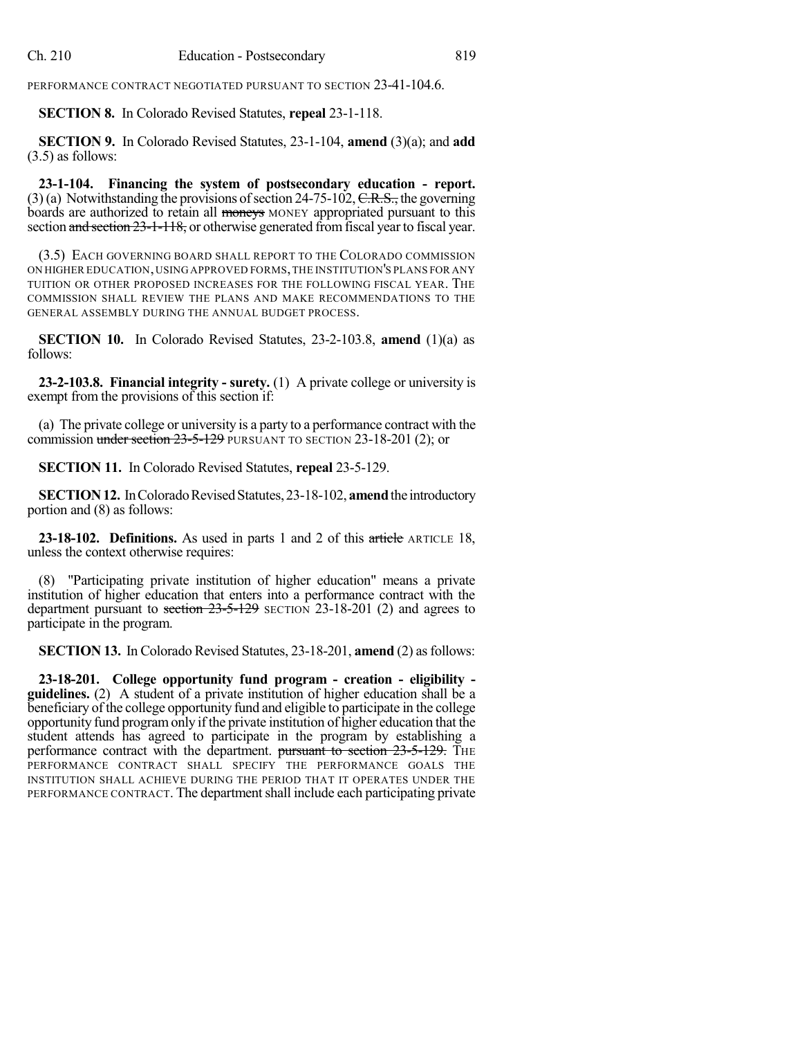PERFORMANCE CONTRACT NEGOTIATED PURSUANT TO SECTION 23-41-104.6.

**SECTION 8.** In Colorado Revised Statutes, **repeal** 23-1-118.

**SECTION 9.** In Colorado Revised Statutes, 23-1-104, **amend** (3)(a); and **add** (3.5) as follows:

**23-1-104. Financing the system of postsecondary education - report.** (3) (a) Notwithstanding the provisions of section 24-75-102,  $C.R.S.,$  the governing boards are authorized to retain all moneys MONEY appropriated pursuant to this section and section 23-1-118, or otherwise generated from fiscal year to fiscal year.

(3.5) EACH GOVERNING BOARD SHALL REPORT TO THE COLORADO COMMISSION ON HIGHER EDUCATION,USING APPROVED FORMS,THE INSTITUTION'S PLANS FOR ANY TUITION OR OTHER PROPOSED INCREASES FOR THE FOLLOWING FISCAL YEAR. THE COMMISSION SHALL REVIEW THE PLANS AND MAKE RECOMMENDATIONS TO THE GENERAL ASSEMBLY DURING THE ANNUAL BUDGET PROCESS.

**SECTION 10.** In Colorado Revised Statutes, 23-2-103.8, **amend** (1)(a) as follows:

**23-2-103.8. Financial integrity - surety.** (1) A private college or university is exempt from the provisions of this section if:

(a) The private college or university is a party to a performance contract with the commission under section 23-5-129 PURSUANT TO SECTION 23-18-201 (2); or

**SECTION 11.** In Colorado Revised Statutes, **repeal** 23-5-129.

**SECTION 12.** In Colorado Revised Statutes, 23-18-102, **amend** the introductory portion and (8) as follows:

**23-18-102. Definitions.** As used in parts 1 and 2 of this article ARTICLE 18, unless the context otherwise requires:

(8) "Participating private institution of higher education" means a private institution of higher education that enters into a performance contract with the department pursuant to section  $23-5-129$  SECTION 23-18-201 (2) and agrees to participate in the program.

**SECTION 13.** In Colorado Revised Statutes, 23-18-201, **amend** (2) as follows:

**23-18-201. College opportunity fund program - creation - eligibility guidelines.** (2) A student of a private institution of higher education shall be a beneficiary of the college opportunity fund and eligible to participate in the college opportunity fund programonly if the private institution of higher education that the student attends has agreed to participate in the program by establishing a performance contract with the department.  $\frac{\text{pursuant to section 23-5-129}}{\text{fHE}}$ PERFORMANCE CONTRACT SHALL SPECIFY THE PERFORMANCE GOALS THE INSTITUTION SHALL ACHIEVE DURING THE PERIOD THAT IT OPERATES UNDER THE PERFORMANCE CONTRACT. The department shall include each participating private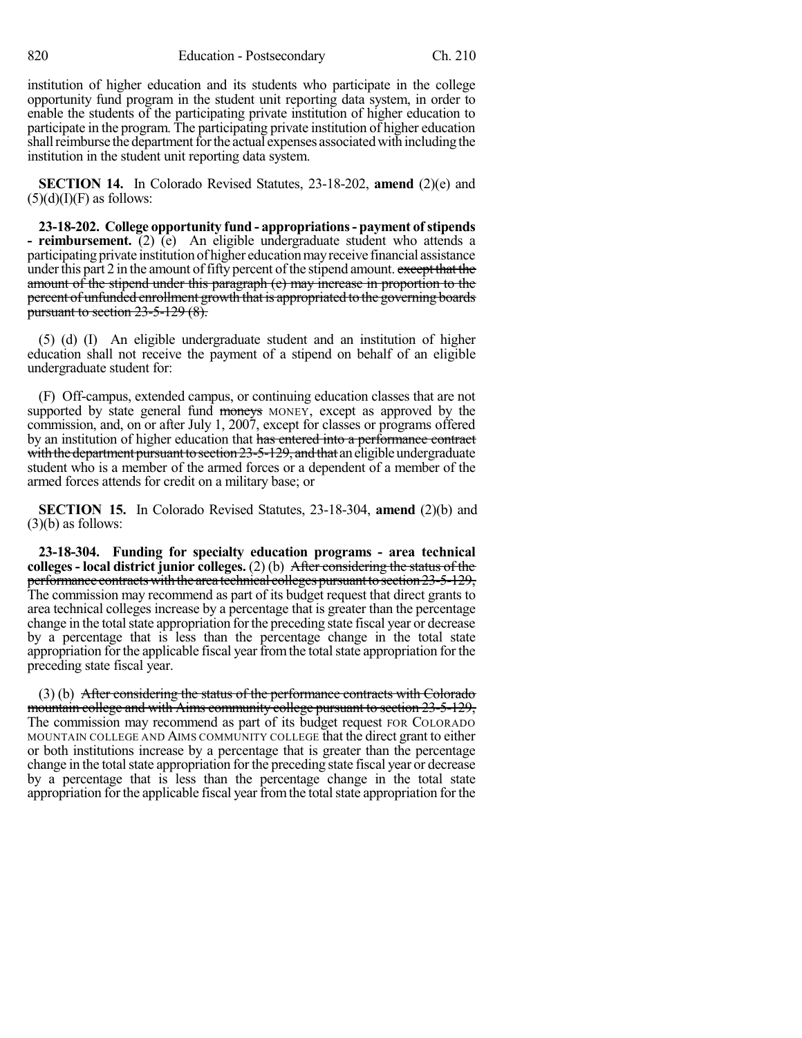institution of higher education and its students who participate in the college opportunity fund program in the student unit reporting data system, in order to enable the students of the participating private institution of higher education to participate in the program. The participating private institution of higher education shall reimburse the department for the actual expenses associated with including the institution in the student unit reporting data system.

**SECTION 14.** In Colorado Revised Statutes, 23-18-202, **amend** (2)(e) and  $(5)(d)(I)(F)$  as follows:

**23-18-202. College opportunity fund - appropriations- payment ofstipends - reimbursement.** (2) (e) An eligible undergraduate student who attends a participating private institution of higher educationmayreceive financial assistance under this part 2 in the amount of fifty percent of the stipend amount. except that the amount of the stipend under this paragraph (e) may increase in proportion to the percent of unfunded enrollment growth that is appropriated to the governing boards pursuant to section 23-5-129 (8).

(5) (d) (I) An eligible undergraduate student and an institution of higher education shall not receive the payment of a stipend on behalf of an eligible undergraduate student for:

(F) Off-campus, extended campus, or continuing education classes that are not supported by state general fund moneys MONEY, except as approved by the commission, and, on or after July 1, 2007, except for classes or programs offered by an institution of higher education that has entered into a performance contract with the department pursuant to section  $23-5-129$ , and that an eligible undergraduate student who is a member of the armed forces or a dependent of a member of the armed forces attends for credit on a military base; or

**SECTION 15.** In Colorado Revised Statutes, 23-18-304, **amend** (2)(b) and  $(3)(b)$  as follows:

**23-18-304. Funding for specialty education programs - area technical colleges- local district junior colleges.** (2) (b) After considering the status of the performance contractswiththe area technical collegespursuanttosection23-5-129, The commission may recommend as part of its budget request that direct grants to area technical colleges increase by a percentage that is greater than the percentage change in the total state appropriation for the preceding state fiscal year or decrease by a percentage that is less than the percentage change in the total state appropriation for the applicable fiscal year from the total state appropriation for the preceding state fiscal year.

(3) (b) After considering the status of the performance contracts with Colorado mountain college and with Aims community college pursuant to section 23-5-129, The commission may recommend as part of its budget request FOR COLORADO MOUNTAIN COLLEGE AND AIMS COMMUNITY COLLEGE that the direct grant to either or both institutions increase by a percentage that is greater than the percentage change in the total state appropriation for the preceding state fiscal year or decrease by a percentage that is less than the percentage change in the total state appropriation for the applicable fiscal year from the total state appropriation for the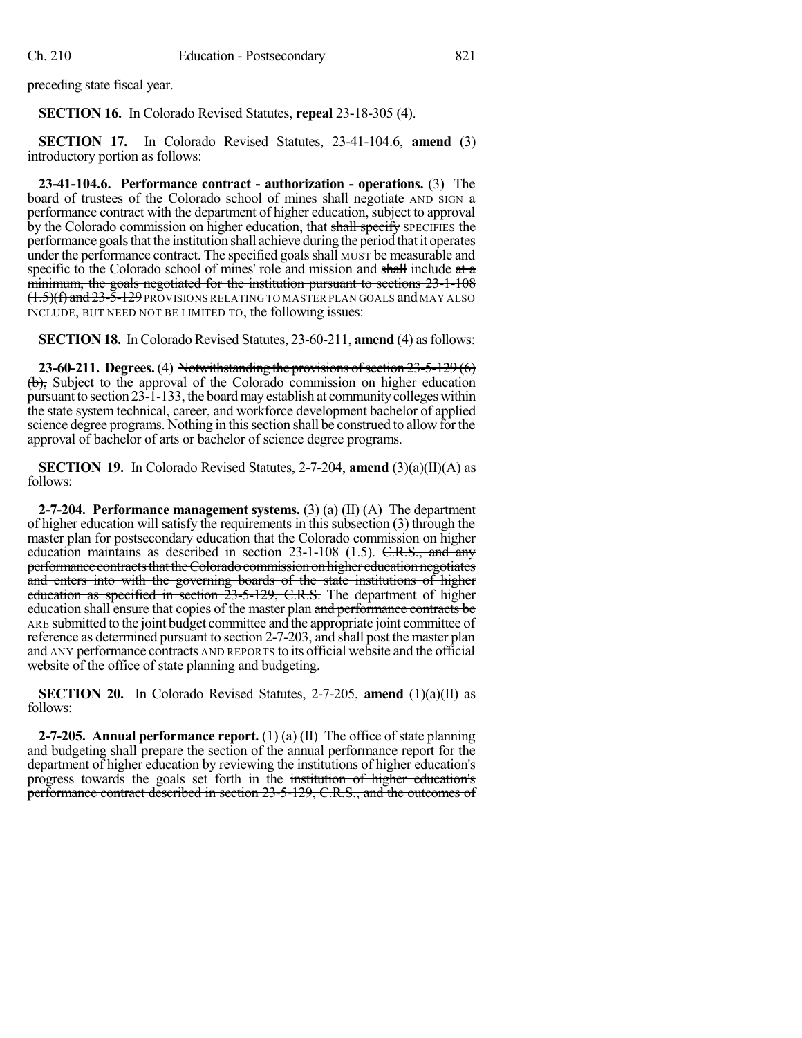preceding state fiscal year.

**SECTION 16.** In Colorado Revised Statutes, **repeal** 23-18-305 (4).

**SECTION 17.** In Colorado Revised Statutes, 23-41-104.6, **amend** (3) introductory portion as follows:

**23-41-104.6. Performance contract - authorization - operations.** (3) The board of trustees of the Colorado school of mines shall negotiate AND SIGN a performance contract with the department of higher education, subject to approval by the Colorado commission on higher education, that shall specify SPECIFIES the performance goalsthat the institution shall achieve during the period thatit operates under the performance contract. The specified goals shall MUST be measurable and specific to the Colorado school of mines' role and mission and shall include at  $\alpha$ minimum, the goals negotiated for the institution pursuant to sections 23-1-108 (<del>1.5)(f) and 23-5-129</del> provisions relating to master plan goals and may also INCLUDE, BUT NEED NOT BE LIMITED TO, the following issues:

**SECTION 18.** In Colorado Revised Statutes, 23-60-211, **amend** (4) as follows:

**23-60-211.** Degrees. (4) Notwithstanding the provisions of section 23-5-129 (6) (b), Subject to the approval of the Colorado commission on higher education pursuant to section  $23\overline{-1}$ -133, the board may establish at community colleges within the state system technical, career, and workforce development bachelor of applied science degree programs. Nothing in this section shall be construed to allow for the approval of bachelor of arts or bachelor of science degree programs.

**SECTION 19.** In Colorado Revised Statutes, 2-7-204, **amend** (3)(a)(II)(A) as follows:

**2-7-204. Performance management systems.** (3) (a) (II) (A) The department of higher education will satisfy the requirements in this subsection (3) through the master plan for postsecondary education that the Colorado commission on higher education maintains as described in section  $23-1-108$  (1.5). C.R.S., and any performance contracts that the Colorado commission on higher education negotiates and enters into with the governing boards of the state institutions of higher education as specified in section 23-5-129, C.R.S. The department of higher education shall ensure that copies of the master plan and performance contracts be ARE submitted to the joint budget committee and the appropriate joint committee of reference as determined pursuant to section 2-7-203, and shall post the master plan and ANY performance contracts AND REPORTS to its official website and the official website of the office of state planning and budgeting.

**SECTION 20.** In Colorado Revised Statutes, 2-7-205, **amend** (1)(a)(II) as follows:

**2-7-205. Annual performance report.** (1) (a) (II) The office of state planning and budgeting shall prepare the section of the annual performance report for the department of higher education by reviewing the institutions of higher education's progress towards the goals set forth in the institution of higher education's performance contract described in section 23-5-129, C.R.S., and the outcomes of